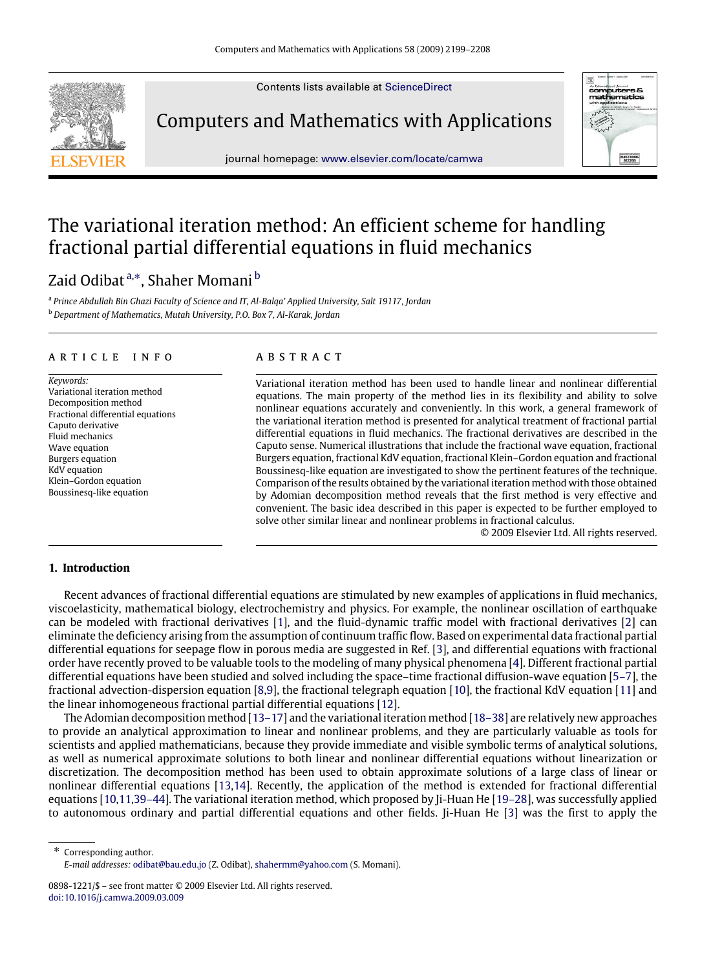Contents lists available at [ScienceDirect](http://www.elsevier.com/locate/camwa)



Computers and Mathematics with Applications





# The variational iteration method: An efficient scheme for handling fractional partial differential equations in fluid mechanics

## Zaid Odibat <sup>[a,](#page-0-0)[∗](#page-0-1)</sup>, Shaher Momani <sup>[b](#page-0-2)</sup>

<span id="page-0-2"></span><span id="page-0-0"></span>a *Prince Abdullah Bin Ghazi Faculty of Science and IT, Al-Balqa' Applied University, Salt 19117, Jordan* <sup>b</sup> *Department of Mathematics, Mutah University, P.O. Box 7, Al-Karak, Jordan*

## a r t i c l e i n f o

*Keywords:* Variational iteration method Decomposition method Fractional differential equations Caputo derivative Fluid mechanics Wave equation Burgers equation KdV equation Klein–Gordon equation Boussinesq-like equation

## a b s t r a c t

Variational iteration method has been used to handle linear and nonlinear differential equations. The main property of the method lies in its flexibility and ability to solve nonlinear equations accurately and conveniently. In this work, a general framework of the variational iteration method is presented for analytical treatment of fractional partial differential equations in fluid mechanics. The fractional derivatives are described in the Caputo sense. Numerical illustrations that include the fractional wave equation, fractional Burgers equation, fractional KdV equation, fractional Klein–Gordon equation and fractional Boussinesq-like equation are investigated to show the pertinent features of the technique. Comparison of the results obtained by the variational iteration method with those obtained by Adomian decomposition method reveals that the first method is very effective and convenient. The basic idea described in this paper is expected to be further employed to solve other similar linear and nonlinear problems in fractional calculus.

© 2009 Elsevier Ltd. All rights reserved.

## **1. Introduction**

Recent advances of fractional differential equations are stimulated by new examples of applications in fluid mechanics, viscoelasticity, mathematical biology, electrochemistry and physics. For example, the nonlinear oscillation of earthquake can be modeled with fractional derivatives [\[1\]](#page-9-0), and the fluid-dynamic traffic model with fractional derivatives [\[2\]](#page-9-1) can eliminate the deficiency arising from the assumption of continuum traffic flow. Based on experimental data fractional partial differential equations for seepage flow in porous media are suggested in Ref. [\[3\]](#page-9-2), and differential equations with fractional order have recently proved to be valuable tools to the modeling of many physical phenomena [\[4\]](#page-9-3). Different fractional partial differential equations have been studied and solved including the space–time fractional diffusion-wave equation [\[5–7\]](#page-9-4), the fractional advection-dispersion equation [\[8](#page-9-5)[,9\]](#page-9-6), the fractional telegraph equation [\[10\]](#page-9-7), the fractional KdV equation [\[11\]](#page-9-8) and the linear inhomogeneous fractional partial differential equations [\[12\]](#page-9-9).

The Adomian decomposition method [\[13–17\]](#page-9-10) and the variational iteration method [\[18–38\]](#page-9-11) are relatively new approaches to provide an analytical approximation to linear and nonlinear problems, and they are particularly valuable as tools for scientists and applied mathematicians, because they provide immediate and visible symbolic terms of analytical solutions, as well as numerical approximate solutions to both linear and nonlinear differential equations without linearization or discretization. The decomposition method has been used to obtain approximate solutions of a large class of linear or nonlinear differential equations [\[13,](#page-9-10)[14\]](#page-9-12). Recently, the application of the method is extended for fractional differential equations [\[10,](#page-9-7)[11,](#page-9-8)[39–44\]](#page-9-13). The variational iteration method, which proposed by Ji-Huan He [\[19–28\]](#page-9-14), was successfully applied to autonomous ordinary and partial differential equations and other fields. Ji-Huan He [\[3\]](#page-9-2) was the first to apply the

<span id="page-0-1"></span>∗ Corresponding author. *E-mail addresses:* [odibat@bau.edu.jo](mailto:odibat@bau.edu.jo) (Z. Odibat), [shahermm@yahoo.com](mailto:shahermm@yahoo.com) (S. Momani).

<sup>0898-1221/\$ –</sup> see front matter © 2009 Elsevier Ltd. All rights reserved. [doi:10.1016/j.camwa.2009.03.009](http://dx.doi.org/10.1016/j.camwa.2009.03.009)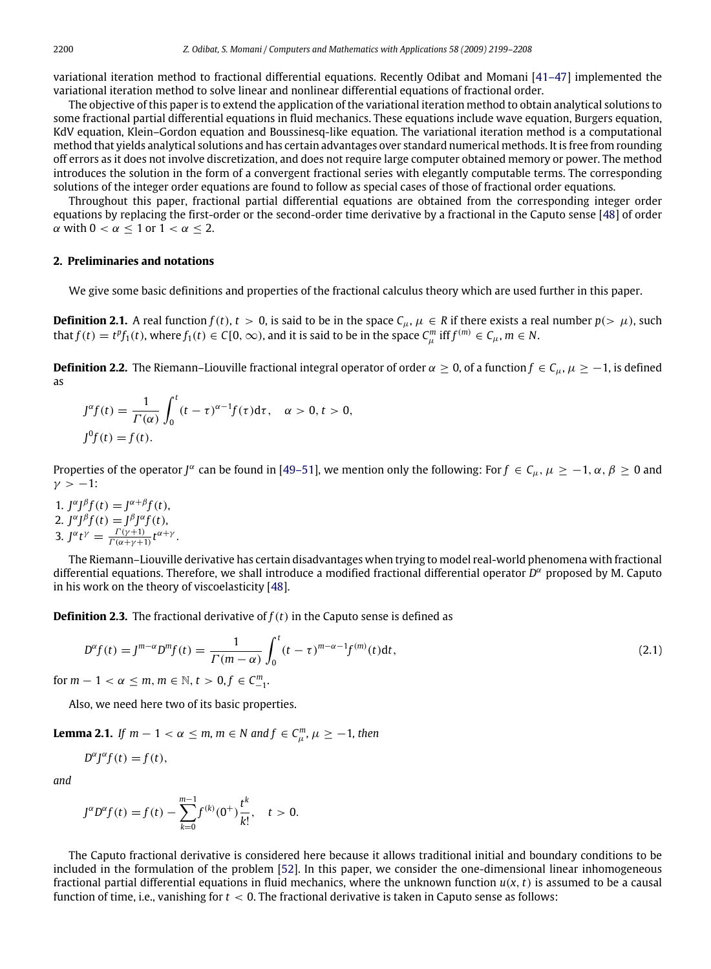variational iteration method to fractional differential equations. Recently Odibat and Momani [\[41–47\]](#page-9-15) implemented the variational iteration method to solve linear and nonlinear differential equations of fractional order.

The objective of this paper is to extend the application of the variational iteration method to obtain analytical solutions to some fractional partial differential equations in fluid mechanics. These equations include wave equation, Burgers equation, KdV equation, Klein–Gordon equation and Boussinesq-like equation. The variational iteration method is a computational method that yields analytical solutions and has certain advantages over standard numerical methods. It is free from rounding off errors as it does not involve discretization, and does not require large computer obtained memory or power. The method introduces the solution in the form of a convergent fractional series with elegantly computable terms. The corresponding solutions of the integer order equations are found to follow as special cases of those of fractional order equations.

Throughout this paper, fractional partial differential equations are obtained from the corresponding integer order equations by replacing the first-order or the second-order time derivative by a fractional in the Caputo sense [\[48\]](#page-9-16) of order  $\alpha$  with  $0 < \alpha < 1$  or  $1 < \alpha < 2$ .

## **2. Preliminaries and notations**

We give some basic definitions and properties of the fractional calculus theory which are used further in this paper.

**Definition 2.1.** A real function  $f(t)$ ,  $t > 0$ , is said to be in the space  $C_{\mu}$ ,  $\mu \in R$  if there exists a real number  $p(\geq \mu)$ , such that  $f(t) = t^p f_1(t)$ , where  $f_1(t) \in C[0,\infty)$ , and it is said to be in the space  $C_\mu^m$  iff  $f^{(m)} \in C_\mu$ ,  $m \in \mathbb{N}$ .

**Definition 2.2.** The Riemann–Liouville fractional integral operator of order  $\alpha \ge 0$ , of a function  $f \in C_\mu$ ,  $\mu \ge -1$ , is defined as

$$
J^{\alpha}f(t) = \frac{1}{\Gamma(\alpha)} \int_0^t (t - \tau)^{\alpha - 1} f(\tau) d\tau, \quad \alpha > 0, t > 0,
$$
  

$$
J^0f(t) = f(t).
$$

Properties of the operator *J*<sup>α</sup> can be found in [\[49–51\]](#page-9-17), we mention only the following: For  $f \in C_\mu$ ,  $\mu \ge -1$ ,  $\alpha$ ,  $\beta \ge 0$  and  $\nu > -1$ :

1.  $J^{\alpha}J^{\beta}f(t) = J^{\alpha+\beta}f(t)$ , 2.  $J^{\alpha}J^{\beta}f(t) = J^{\beta}J^{\alpha}f(t),$ 3.  $J^{\alpha}t^{\gamma} = \frac{\Gamma(\gamma+1)}{\Gamma(\alpha+\gamma+1)}t^{\alpha+\gamma}$ .

The Riemann–Liouville derivative has certain disadvantages when trying to model real-world phenomena with fractional differential equations. Therefore, we shall introduce a modified fractional differential operator *D* <sup>α</sup> proposed by M. Caputo in his work on the theory of viscoelasticity [\[48\]](#page-9-16).

**Definition 2.3.** The fractional derivative of  $f(t)$  in the Caputo sense is defined as

$$
D^{\alpha}f(t) = J^{m-\alpha}D^{m}f(t) = \frac{1}{\Gamma(m-\alpha)} \int_{0}^{t} (t-\tau)^{m-\alpha-1} f^{(m)}(t) dt,
$$
\n
$$
-1 < \alpha < m, m \in \mathbb{N}, t > 0, f \in C^{m}
$$
\n(2.1)

for  $m - 1 < \alpha \le m$ ,  $m \in \mathbb{N}$ ,  $t > 0$ ,  $f \in C_{-1}^m$ .

Also, we need here two of its basic properties.

**Lemma 2.1.** *If*  $m - 1 < \alpha \le m$ ,  $m \in N$  and  $f \in C_{\mu}^{m}$ ,  $\mu \ge -1$ , then

$$
D^{\alpha}J^{\alpha}f(t) = f(t),
$$

*and*

$$
J^{\alpha}D^{\alpha}f(t) = f(t) - \sum_{k=0}^{m-1} f^{(k)}(0^{+}) \frac{t^{k}}{k!}, \quad t > 0.
$$

The Caputo fractional derivative is considered here because it allows traditional initial and boundary conditions to be included in the formulation of the problem [\[52\]](#page-9-18). In this paper, we consider the one-dimensional linear inhomogeneous fractional partial differential equations in fluid mechanics, where the unknown function  $u(x, t)$  is assumed to be a causal function of time, i.e., vanishing for *t* < 0. The fractional derivative is taken in Caputo sense as follows: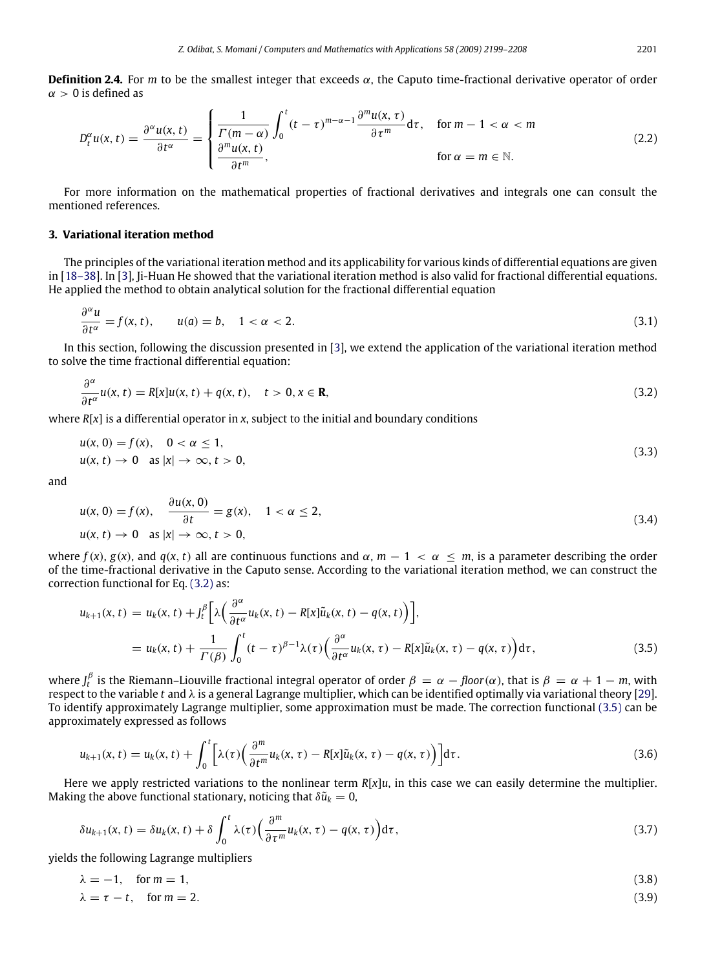**Definition 2.4.** For *m* to be the smallest integer that exceeds  $\alpha$ , the Caputo time-fractional derivative operator of order  $\alpha > 0$  is defined as

$$
D_t^{\alpha}u(x,t) = \frac{\partial^{\alpha}u(x,t)}{\partial t^{\alpha}} = \begin{cases} \frac{1}{\Gamma(m-\alpha)} \int_0^t (t-\tau)^{m-\alpha-1} \frac{\partial^m u(x,\tau)}{\partial \tau^m} d\tau, & \text{for } m-1 < \alpha < m\\ \frac{\partial^m u(x,t)}{\partial t^m}, & \text{for } \alpha = m \in \mathbb{N}. \end{cases}
$$
(2.2)

For more information on the mathematical properties of fractional derivatives and integrals one can consult the mentioned references.

## **3. Variational iteration method**

The principles of the variational iteration method and its applicability for various kinds of differential equations are given in [\[18–38\]](#page-9-11). In [\[3\]](#page-9-2), Ji-Huan He showed that the variational iteration method is also valid for fractional differential equations. He applied the method to obtain analytical solution for the fractional differential equation

$$
\frac{\partial^{\alpha} u}{\partial t^{\alpha}} = f(x, t), \qquad u(a) = b, \quad 1 < \alpha < 2.
$$
\n(3.1)

In this section, following the discussion presented in [\[3\]](#page-9-2), we extend the application of the variational iteration method to solve the time fractional differential equation:

$$
\frac{\partial^{\alpha}}{\partial t^{\alpha}}u(x,t) = R[x]u(x,t) + q(x,t), \quad t > 0, x \in \mathbf{R},
$$
\n(3.2)

where  $R[x]$  is a differential operator in *x*, subject to the initial and boundary conditions

$$
u(x, 0) = f(x), \quad 0 < \alpha \le 1,
$$
\n
$$
u(x, t) \to 0 \quad \text{as } |x| \to \infty, t > 0,
$$
\n
$$
(3.3)
$$

and

$$
u(x, 0) = f(x), \quad \frac{\partial u(x, 0)}{\partial t} = g(x), \quad 1 < \alpha \le 2,
$$
\n
$$
u(x, t) \to 0 \quad \text{as } |x| \to \infty, t > 0,
$$
\n
$$
(3.4)
$$

where  $f(x)$ ,  $g(x)$ , and  $g(x, t)$  all are continuous functions and  $\alpha$ ,  $m - 1 < \alpha \le m$ , is a parameter describing the order of the time-fractional derivative in the Caputo sense. According to the variational iteration method, we can construct the correction functional for Eq. [\(3.2\)](#page-2-0) as:

<span id="page-2-1"></span>
$$
u_{k+1}(x,t) = u_k(x,t) + J_t^{\beta} \left[ \lambda \left( \frac{\partial^{\alpha}}{\partial t^{\alpha}} u_k(x,t) - R[x] \tilde{u}_k(x,t) - q(x,t) \right) \right],
$$
  

$$
= u_k(x,t) + \frac{1}{\Gamma(\beta)} \int_0^t (t-\tau)^{\beta-1} \lambda(\tau) \left( \frac{\partial^{\alpha}}{\partial t^{\alpha}} u_k(x,\tau) - R[x] \tilde{u}_k(x,\tau) - q(x,\tau) \right) d\tau,
$$
 (3.5)

where  $J^\beta_t$  is the Riemann–Liouville fractional integral operator of order  $\beta=\alpha-floor(\alpha)$ , that is  $\beta=\alpha+1-m$ , with respect to the variable *t* and λ is a general Lagrange multiplier, which can be identified optimally via variational theory [\[29\]](#page-9-19). To identify approximately Lagrange multiplier, some approximation must be made. The correction functional [\(3.5\)](#page-2-1) can be approximately expressed as follows

$$
u_{k+1}(x,t) = u_k(x,t) + \int_0^t \left[ \lambda(\tau) \left( \frac{\partial^m}{\partial t^m} u_k(x,\tau) - R[x] \tilde{u}_k(x,\tau) - q(x,\tau) \right) \right] d\tau.
$$
 (3.6)

Here we apply restricted variations to the nonlinear term *R*[*x*]*u*, in this case we can easily determine the multiplier. Making the above functional stationary, noticing that  $\delta \tilde{u}_k = 0$ ,

$$
\delta u_{k+1}(x,t) = \delta u_k(x,t) + \delta \int_0^t \lambda(\tau) \Big( \frac{\partial^m}{\partial \tau^m} u_k(x,\tau) - q(x,\tau) \Big) d\tau, \tag{3.7}
$$

yields the following Lagrange multipliers

$$
\lambda = -1, \quad \text{for } m = 1,
$$
\n
$$
\lambda = \tau - t, \quad \text{for } m = 2.
$$
\n
$$
(3.8)
$$
\n
$$
(3.9)
$$

<span id="page-2-0"></span>
$$
2201\\
$$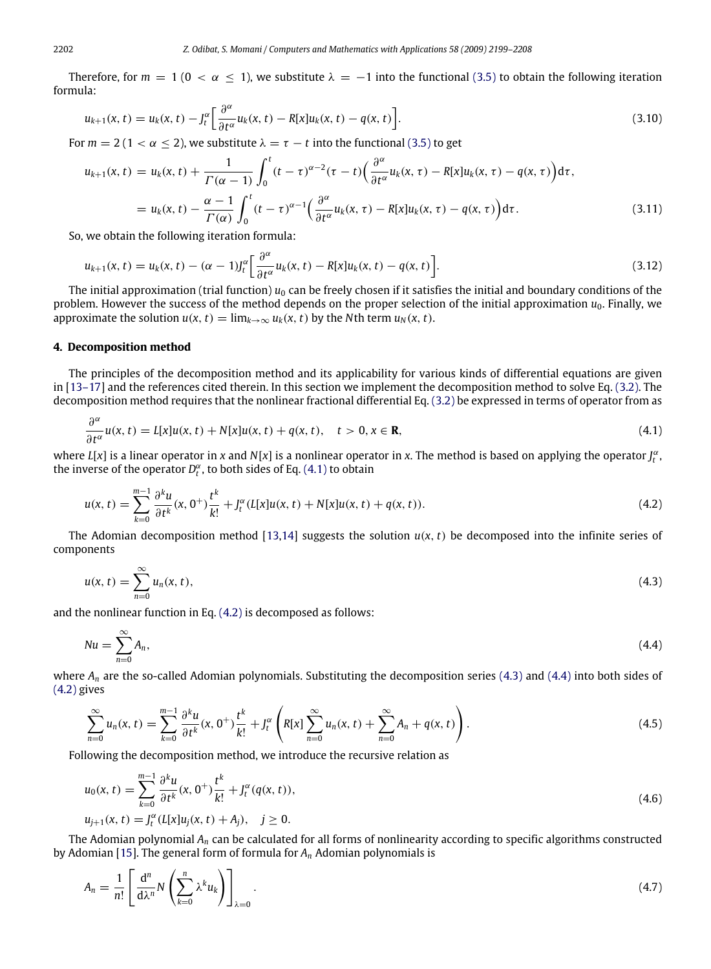Therefore, for  $m = 1$  ( $0 < \alpha \le 1$ ), we substitute  $\lambda = -1$  into the functional [\(3.5\)](#page-2-1) to obtain the following iteration formula:

$$
u_{k+1}(x,t) = u_k(x,t) - J_t^{\alpha} \left[ \frac{\partial^{\alpha}}{\partial t^{\alpha}} u_k(x,t) - R[x] u_k(x,t) - q(x,t) \right].
$$
\n(3.10)

For  $m = 2$  (1 <  $\alpha \le 2$ ), we substitute  $\lambda = \tau - t$  into the functional [\(3.5\)](#page-2-1) to get

<span id="page-3-4"></span>
$$
u_{k+1}(x,t) = u_k(x,t) + \frac{1}{\Gamma(\alpha-1)} \int_0^t (t-\tau)^{\alpha-2} (\tau-t) \left( \frac{\partial^{\alpha}}{\partial t^{\alpha}} u_k(x,\tau) - R[x] u_k(x,\tau) - q(x,\tau) \right) d\tau,
$$
  

$$
= u_k(x,t) - \frac{\alpha-1}{\Gamma(\alpha)} \int_0^t (t-\tau)^{\alpha-1} \left( \frac{\partial^{\alpha}}{\partial t^{\alpha}} u_k(x,\tau) - R[x] u_k(x,\tau) - q(x,\tau) \right) d\tau.
$$
 (3.11)

So, we obtain the following iteration formula:

<span id="page-3-5"></span>
$$
u_{k+1}(x,t) = u_k(x,t) - (\alpha - 1)l_t^{\alpha} \left[ \frac{\partial^{\alpha}}{\partial t^{\alpha}} u_k(x,t) - R[x] u_k(x,t) - q(x,t) \right].
$$
\n(3.12)

The initial approximation (trial function)  $u_0$  can be freely chosen if it satisfies the initial and boundary conditions of the problem. However the success of the method depends on the proper selection of the initial approximation  $u_0$ . Finally, we approximate the solution  $u(x, t) = \lim_{k \to \infty} u_k(x, t)$  by the *N*th term  $u_N(x, t)$ .

#### **4. Decomposition method**

The principles of the decomposition method and its applicability for various kinds of differential equations are given in [\[13–17\]](#page-9-10) and the references cited therein. In this section we implement the decomposition method to solve Eq. [\(3.2\).](#page-2-0) The decomposition method requires that the nonlinear fractional differential Eq. [\(3.2\)](#page-2-0) be expressed in terms of operator from as

<span id="page-3-0"></span>
$$
\frac{\partial^{\alpha}}{\partial t^{\alpha}}u(x,t) = L[x]u(x,t) + N[x]u(x,t) + q(x,t), \quad t > 0, x \in \mathbf{R},
$$
\n(4.1)

where *L*[*x*] is a linear operator in *x* and *N*[*x*] is a nonlinear operator in *x*. The method is based on applying the operator *J* α *t* , the inverse of the operator  $D_t^{\alpha}$ , to both sides of Eq. [\(4.1\)](#page-3-0) to obtain

<span id="page-3-1"></span>
$$
u(x,t) = \sum_{k=0}^{m-1} \frac{\partial^k u}{\partial t^k}(x,0^+)\frac{t^k}{k!} + J_t^{\alpha}(L[x]u(x,t) + N[x]u(x,t) + q(x,t)).
$$
\n(4.2)

The Adomian decomposition method [\[13,](#page-9-10)[14\]](#page-9-12) suggests the solution  $u(x, t)$  be decomposed into the infinite series of components

<span id="page-3-2"></span>
$$
u(x, t) = \sum_{n=0}^{\infty} u_n(x, t),
$$
\n(4.3)

and the nonlinear function in Eq. [\(4.2\)](#page-3-1) is decomposed as follows:

<span id="page-3-3"></span>
$$
Nu = \sum_{n=0}^{\infty} A_n,\tag{4.4}
$$

where  $A_n$  are the so-called Adomian polynomials. Substituting the decomposition series [\(4.3\)](#page-3-2) and [\(4.4\)](#page-3-3) into both sides of [\(4.2\)](#page-3-1) gives

$$
\sum_{n=0}^{\infty} u_n(x,t) = \sum_{k=0}^{m-1} \frac{\partial^k u}{\partial t^k}(x,0^+) \frac{t^k}{k!} + J_t^{\alpha} \left( R[x] \sum_{n=0}^{\infty} u_n(x,t) + \sum_{n=0}^{\infty} A_n + q(x,t) \right).
$$
\n(4.5)

Following the decomposition method, we introduce the recursive relation as

$$
u_0(x, t) = \sum_{k=0}^{m-1} \frac{\partial^k u}{\partial t^k}(x, 0^+) \frac{t^k}{k!} + J_t^{\alpha}(q(x, t)),
$$
  
\n
$$
u_{j+1}(x, t) = J_t^{\alpha}(L[x]u_j(x, t) + A_j), \quad j \ge 0.
$$
\n(4.6)

The Adomian polynomial *A<sup>n</sup>* can be calculated for all forms of nonlinearity according to specific algorithms constructed by Adomian [\[15\]](#page-9-20). The general form of formula for *A<sup>n</sup>* Adomian polynomials is

$$
A_n = \frac{1}{n!} \left[ \frac{d^n}{d\lambda^n} N \left( \sum_{k=0}^n \lambda^k u_k \right) \right]_{\lambda=0} . \tag{4.7}
$$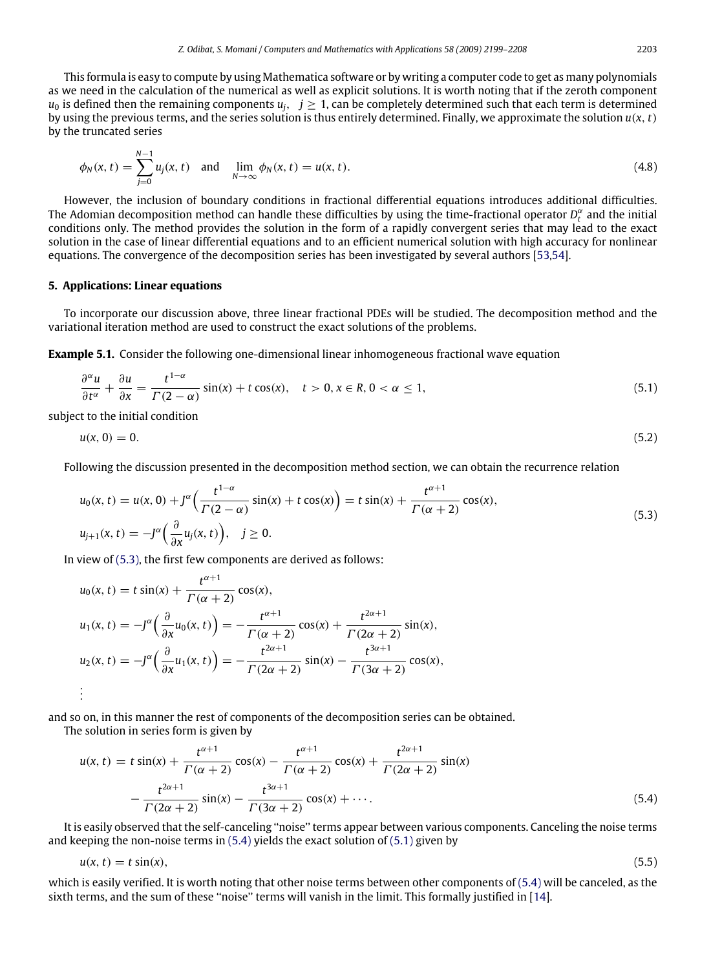This formula is easy to compute by using Mathematica software or by writing a computer code to get as many polynomials as we need in the calculation of the numerical as well as explicit solutions. It is worth noting that if the zeroth component  $u_0$  is defined then the remaining components  $u_i$ ,  $j \geq 1$ , can be completely determined such that each term is determined by using the previous terms, and the series solution is thus entirely determined. Finally, we approximate the solution *u*(*x*, *t*) by the truncated series

$$
\phi_N(x,t) = \sum_{j=0}^{N-1} u_j(x,t) \text{ and } \lim_{N \to \infty} \phi_N(x,t) = u(x,t). \tag{4.8}
$$

However, the inclusion of boundary conditions in fractional differential equations introduces additional difficulties. The Adomian decomposition method can handle these difficulties by using the time-fractional operator  $D_t^{\alpha}$  and the initial conditions only. The method provides the solution in the form of a rapidly convergent series that may lead to the exact solution in the case of linear differential equations and to an efficient numerical solution with high accuracy for nonlinear equations. The convergence of the decomposition series has been investigated by several authors [\[53,](#page-9-21)[54\]](#page-9-22).

## **5. Applications: Linear equations**

To incorporate our discussion above, three linear fractional PDEs will be studied. The decomposition method and the variational iteration method are used to construct the exact solutions of the problems.

**Example 5.1.** Consider the following one-dimensional linear inhomogeneous fractional wave equation

<span id="page-4-2"></span>
$$
\frac{\partial^{\alpha} u}{\partial t^{\alpha}} + \frac{\partial u}{\partial x} = \frac{t^{1-\alpha}}{\Gamma(2-\alpha)} \sin(x) + t \cos(x), \quad t > 0, x \in \mathbb{R}, 0 < \alpha \le 1,
$$
\n(5.1)

subject to the initial condition

$$
u(x, 0) = 0. \t\t(5.2)
$$

Following the discussion presented in the decomposition method section, we can obtain the recurrence relation

<span id="page-4-0"></span>
$$
u_0(x, t) = u(x, 0) + J^{\alpha} \left( \frac{t^{1-\alpha}}{\Gamma(2-\alpha)} \sin(x) + t \cos(x) \right) = t \sin(x) + \frac{t^{\alpha+1}}{\Gamma(\alpha+2)} \cos(x),
$$
  
\n
$$
u_{j+1}(x, t) = -J^{\alpha} \left( \frac{\partial}{\partial x} u_j(x, t) \right), \quad j \ge 0.
$$
\n(5.3)

In view of [\(5.3\),](#page-4-0) the first few components are derived as follows:

$$
u_0(x, t) = t \sin(x) + \frac{t^{\alpha+1}}{\Gamma(\alpha+2)} \cos(x),
$$
  
\n
$$
u_1(x, t) = -J^{\alpha} \left( \frac{\partial}{\partial x} u_0(x, t) \right) = -\frac{t^{\alpha+1}}{\Gamma(\alpha+2)} \cos(x) + \frac{t^{2\alpha+1}}{\Gamma(2\alpha+2)} \sin(x),
$$
  
\n
$$
u_2(x, t) = -J^{\alpha} \left( \frac{\partial}{\partial x} u_1(x, t) \right) = -\frac{t^{2\alpha+1}}{\Gamma(2\alpha+2)} \sin(x) - \frac{t^{3\alpha+1}}{\Gamma(3\alpha+2)} \cos(x),
$$
  
\n
$$
\vdots
$$

and so on, in this manner the rest of components of the decomposition series can be obtained.

The solution in series form is given by

<span id="page-4-1"></span>
$$
u(x, t) = t \sin(x) + \frac{t^{\alpha+1}}{\Gamma(\alpha+2)} \cos(x) - \frac{t^{\alpha+1}}{\Gamma(\alpha+2)} \cos(x) + \frac{t^{2\alpha+1}}{\Gamma(2\alpha+2)} \sin(x)
$$

$$
- \frac{t^{2\alpha+1}}{\Gamma(2\alpha+2)} \sin(x) - \frac{t^{3\alpha+1}}{\Gamma(3\alpha+2)} \cos(x) + \cdots.
$$
(5.4)

It is easily observed that the self-canceling ''noise'' terms appear between various components. Canceling the noise terms and keeping the non-noise terms in [\(5.4\)](#page-4-1) yields the exact solution of [\(5.1\)](#page-4-2) given by

$$
u(x, t) = t \sin(x), \tag{5.5}
$$

which is easily verified. It is worth noting that other noise terms between other components of [\(5.4\)](#page-4-1) will be canceled, as the sixth terms, and the sum of these "noise" terms will vanish in the limit. This formally justified in [\[14\]](#page-9-12).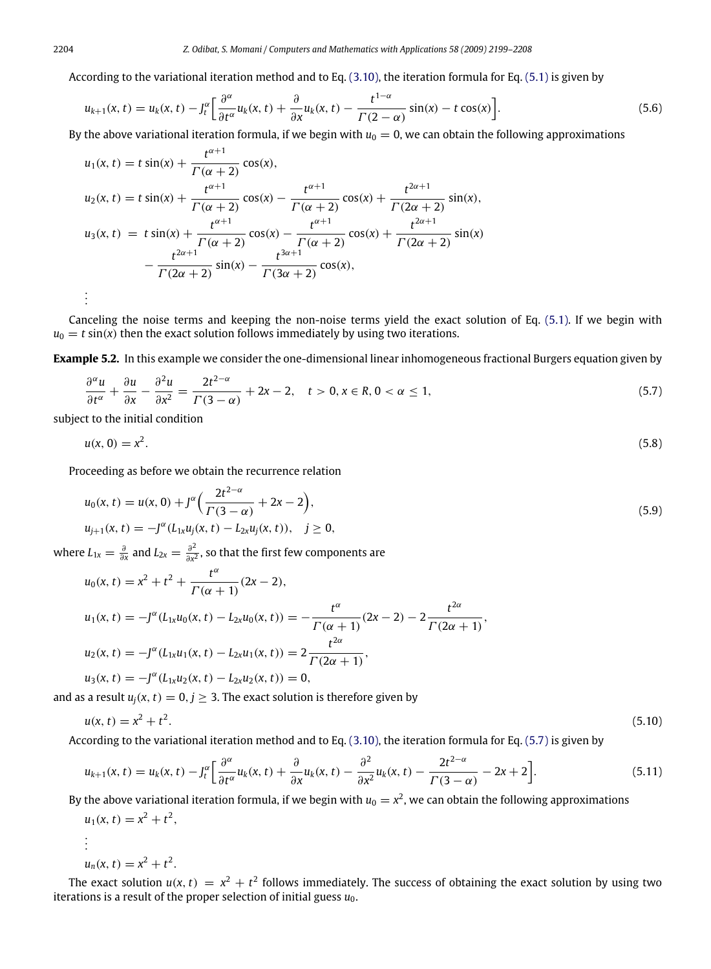According to the variational iteration method and to Eq. [\(3.10\),](#page-3-4) the iteration formula for Eq. [\(5.1\)](#page-4-2) is given by

$$
u_{k+1}(x,t) = u_k(x,t) - J_t^{\alpha} \left[ \frac{\partial^{\alpha}}{\partial t^{\alpha}} u_k(x,t) + \frac{\partial}{\partial x} u_k(x,t) - \frac{t^{1-\alpha}}{\Gamma(2-\alpha)} \sin(x) - t \cos(x) \right].
$$
\n(5.6)

By the above variational iteration formula, if we begin with  $u_0 = 0$ , we can obtain the following approximations

$$
u_1(x, t) = t \sin(x) + \frac{t^{\alpha+1}}{\Gamma(\alpha+2)} \cos(x),
$$
  
\n
$$
u_2(x, t) = t \sin(x) + \frac{t^{\alpha+1}}{\Gamma(\alpha+2)} \cos(x) - \frac{t^{\alpha+1}}{\Gamma(\alpha+2)} \cos(x) + \frac{t^{2\alpha+1}}{\Gamma(2\alpha+2)} \sin(x),
$$
  
\n
$$
u_3(x, t) = t \sin(x) + \frac{t^{\alpha+1}}{\Gamma(\alpha+2)} \cos(x) - \frac{t^{\alpha+1}}{\Gamma(\alpha+2)} \cos(x) + \frac{t^{2\alpha+1}}{\Gamma(2\alpha+2)} \sin(x)
$$
  
\n
$$
- \frac{t^{2\alpha+1}}{\Gamma(2\alpha+2)} \sin(x) - \frac{t^{3\alpha+1}}{\Gamma(3\alpha+2)} \cos(x),
$$
  
\n
$$
\vdots
$$

Canceling the noise terms and keeping the non-noise terms yield the exact solution of Eq. [\(5.1\).](#page-4-2) If we begin with  $u_0 = t \sin(x)$  then the exact solution follows immediately by using two iterations.

**Example 5.2.** In this example we consider the one-dimensional linear inhomogeneous fractional Burgers equation given by

<span id="page-5-0"></span>
$$
\frac{\partial^{\alpha} u}{\partial t^{\alpha}} + \frac{\partial u}{\partial x} - \frac{\partial^2 u}{\partial x^2} = \frac{2t^{2-\alpha}}{\Gamma(3-\alpha)} + 2x - 2, \quad t > 0, x \in \mathbb{R}, 0 < \alpha \le 1,
$$
\n
$$
(5.7)
$$

subject to the initial condition

$$
u(x, 0) = x^2. \tag{5.8}
$$

Proceeding as before we obtain the recurrence relation

$$
u_0(x, t) = u(x, 0) + J^{\alpha} \left( \frac{2t^{2-\alpha}}{\Gamma(3-\alpha)} + 2x - 2 \right),
$$
  
\n
$$
u_{j+1}(x, t) = -J^{\alpha} (L_{1x} u_j(x, t) - L_{2x} u_j(x, t)), \quad j \ge 0,
$$
\n(5.9)

where  $L_{1x} = \frac{\partial}{\partial x}$  and  $L_{2x} = \frac{\partial^2}{\partial x^2}$ ∂*x* 2 , so that the first few components are

$$
u_0(x, t) = x^2 + t^2 + \frac{t^{\alpha}}{\Gamma(\alpha + 1)} (2x - 2),
$$
  
\n
$$
u_1(x, t) = -J^{\alpha} (L_{1x} u_0(x, t) - L_{2x} u_0(x, t)) = -\frac{t^{\alpha}}{\Gamma(\alpha + 1)} (2x - 2) - 2\frac{t^{2\alpha}}{\Gamma(2\alpha + 1)},
$$
  
\n
$$
u_2(x, t) = -J^{\alpha} (L_{1x} u_1(x, t) - L_{2x} u_1(x, t)) = 2\frac{t^{2\alpha}}{\Gamma(2\alpha + 1)},
$$
  
\n
$$
u_3(x, t) = -J^{\alpha} (L_{1x} u_2(x, t) - L_{2x} u_2(x, t)) = 0,
$$

and as a result  $u_i(x, t) = 0, j \geq 3$ . The exact solution is therefore given by

$$
u(x, t) = x^2 + t^2. \tag{5.10}
$$

According to the variational iteration method and to Eq. [\(3.10\),](#page-3-4) the iteration formula for Eq. [\(5.7\)](#page-5-0) is given by

$$
u_{k+1}(x,t) = u_k(x,t) - J_t^{\alpha} \left[ \frac{\partial^{\alpha}}{\partial t^{\alpha}} u_k(x,t) + \frac{\partial}{\partial x} u_k(x,t) - \frac{\partial^2}{\partial x^2} u_k(x,t) - \frac{2t^{2-\alpha}}{\Gamma(3-\alpha)} - 2x + 2 \right].
$$
\n(5.11)

By the above variational iteration formula, if we begin with  $u_0=x^2,$  we can obtain the following approximations  $u_1(x, t) = x^2 + t^2$ ,

$$
\vdots
$$
  
 
$$
u_n(x, t) = x^2 + t^2
$$

.

.

The exact solution  $u(x, t) = x^2 + t^2$  follows immediately. The success of obtaining the exact solution by using two iterations is a result of the proper selection of initial guess  $u_0$ .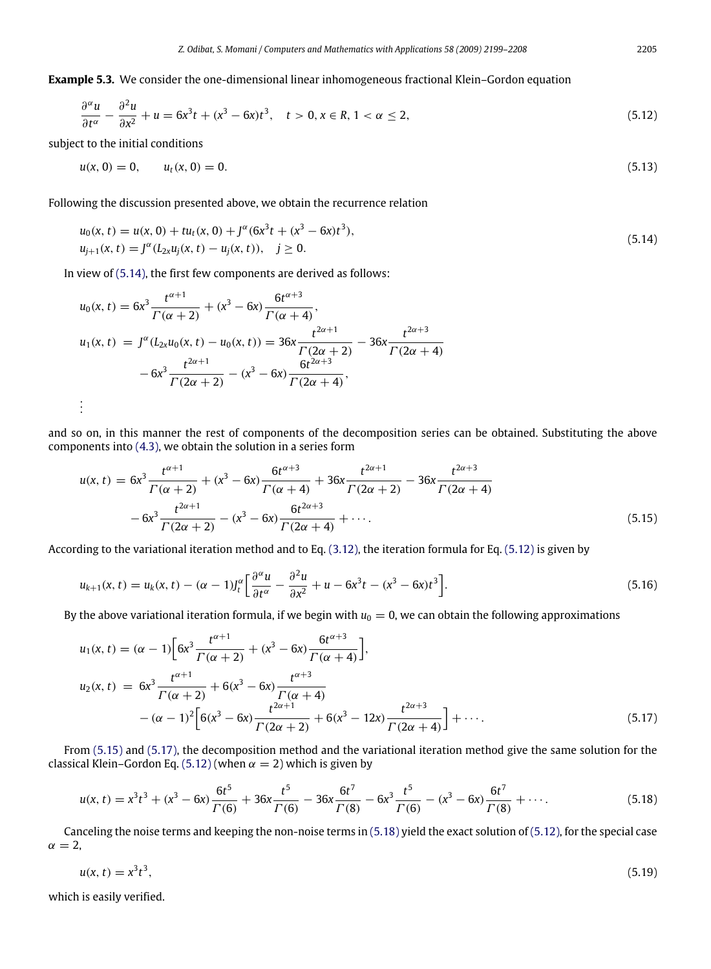**Example 5.3.** We consider the one-dimensional linear inhomogeneous fractional Klein–Gordon equation

$$
\frac{\partial^{\alpha} u}{\partial t^{\alpha}} - \frac{\partial^2 u}{\partial x^2} + u = 6x^3t + (x^3 - 6x)t^3, \quad t > 0, x \in \mathbb{R}, 1 < \alpha \le 2,
$$
\n
$$
(5.12)
$$

subject to the initial conditions

<span id="page-6-1"></span>
$$
u(x, 0) = 0, \qquad u_t(x, 0) = 0. \tag{5.13}
$$

Following the discussion presented above, we obtain the recurrence relation

<span id="page-6-0"></span>
$$
u_0(x, t) = u(x, 0) + tu_t(x, 0) + J^{\alpha}(6x^3t + (x^3 - 6x)t^3),
$$
  
\n
$$
u_{j+1}(x, t) = J^{\alpha}(L_{2x}u_j(x, t) - u_j(x, t)), \quad j \ge 0.
$$
\n(5.14)

In view of [\(5.14\),](#page-6-0) the first few components are derived as follows:

$$
u_0(x, t) = 6x^3 \frac{t^{\alpha+1}}{\Gamma(\alpha+2)} + (x^3 - 6x) \frac{6t^{\alpha+3}}{\Gamma(\alpha+4)},
$$
  
\n
$$
u_1(x, t) = J^{\alpha}(L_{2x}u_0(x, t) - u_0(x, t)) = 36x \frac{t^{2\alpha+1}}{\Gamma(2\alpha+2)} - 36x \frac{t^{2\alpha+3}}{\Gamma(2\alpha+4)} - 6x^3 \frac{t^{2\alpha+1}}{\Gamma(2\alpha+2)} - (x^3 - 6x) \frac{6t^{2\alpha+3}}{\Gamma(2\alpha+4)},
$$
  
\n
$$
\vdots
$$

and so on, in this manner the rest of components of the decomposition series can be obtained. Substituting the above components into [\(4.3\),](#page-3-2) we obtain the solution in a series form

<span id="page-6-2"></span>
$$
u(x,t) = 6x^3 \frac{t^{\alpha+1}}{\Gamma(\alpha+2)} + (x^3 - 6x) \frac{6t^{\alpha+3}}{\Gamma(\alpha+4)} + 36x \frac{t^{2\alpha+1}}{\Gamma(2\alpha+2)} - 36x \frac{t^{2\alpha+3}}{\Gamma(2\alpha+4)} - 6x^3 \frac{t^{2\alpha+1}}{\Gamma(2\alpha+2)} - (x^3 - 6x) \frac{6t^{2\alpha+3}}{\Gamma(2\alpha+4)} + \cdots
$$
\n(5.15)

According to the variational iteration method and to Eq. [\(3.12\),](#page-3-5) the iteration formula for Eq. [\(5.12\)](#page-6-1) is given by

$$
u_{k+1}(x,t) = u_k(x,t) - (\alpha - 1)l_t^{\alpha} \left[ \frac{\partial^{\alpha} u}{\partial t^{\alpha}} - \frac{\partial^2 u}{\partial x^2} + u - 6x^3t - (x^3 - 6x)t^3 \right].
$$
 (5.16)

By the above variational iteration formula, if we begin with  $u_0 = 0$ , we can obtain the following approximations

<span id="page-6-3"></span>
$$
u_1(x, t) = (\alpha - 1) \left[ 6x^3 \frac{t^{\alpha+1}}{\Gamma(\alpha+2)} + (x^3 - 6x) \frac{6t^{\alpha+3}}{\Gamma(\alpha+4)} \right],
$$
  
\n
$$
u_2(x, t) = 6x^3 \frac{t^{\alpha+1}}{\Gamma(\alpha+2)} + 6(x^3 - 6x) \frac{t^{\alpha+3}}{\Gamma(\alpha+4)}
$$
  
\n
$$
-(\alpha - 1)^2 \left[ 6(x^3 - 6x) \frac{t^{2\alpha+1}}{\Gamma(2\alpha+2)} + 6(x^3 - 12x) \frac{t^{2\alpha+3}}{\Gamma(2\alpha+4)} \right] + \cdots.
$$
\n(5.17)

From [\(5.15\)](#page-6-2) and [\(5.17\),](#page-6-3) the decomposition method and the variational iteration method give the same solution for the classical Klein–Gordon Eq. [\(5.12\)](#page-6-1) (when  $\alpha = 2$ ) which is given by

<span id="page-6-4"></span>
$$
u(x,t) = x^3t^3 + (x^3 - 6x)\frac{6t^5}{\Gamma(6)} + 36x\frac{t^5}{\Gamma(6)} - 36x\frac{6t^7}{\Gamma(8)} - 6x^3\frac{t^5}{\Gamma(6)} - (x^3 - 6x)\frac{6t^7}{\Gamma(8)} + \cdots
$$
 (5.18)

Canceling the noise terms and keeping the non-noise terms in [\(5.18\)](#page-6-4) yield the exact solution of [\(5.12\),](#page-6-1) for the special case  $\alpha = 2$ ,

$$
u(x,t) = x^3 t^3,\tag{5.19}
$$

which is easily verified.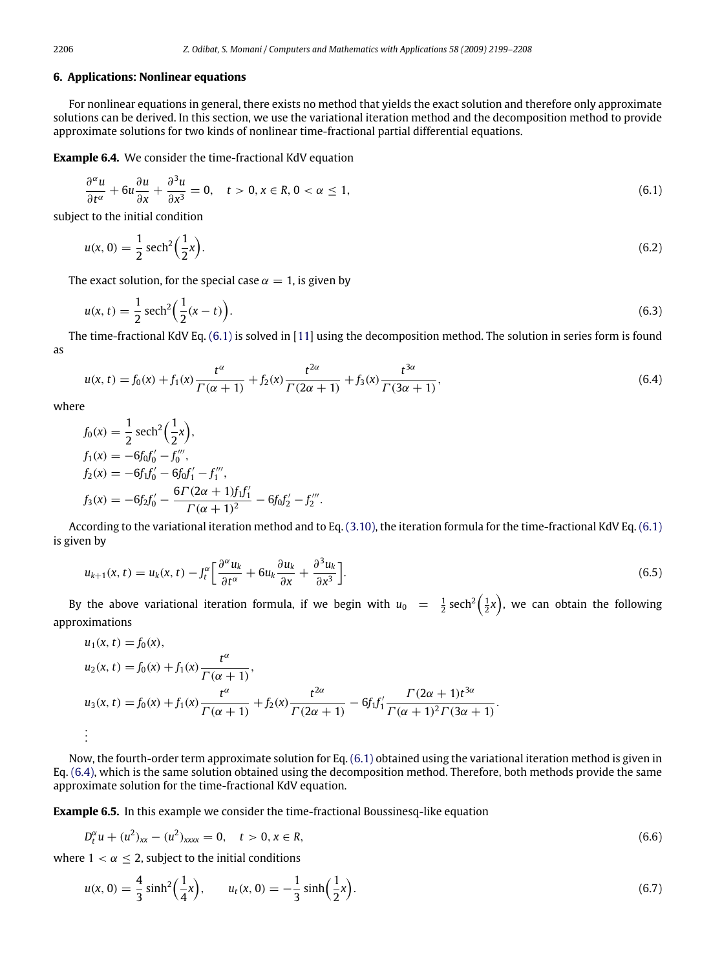#### **6. Applications: Nonlinear equations**

For nonlinear equations in general, there exists no method that yields the exact solution and therefore only approximate solutions can be derived. In this section, we use the variational iteration method and the decomposition method to provide approximate solutions for two kinds of nonlinear time-fractional partial differential equations.

**Example 6.4.** We consider the time-fractional KdV equation

<span id="page-7-0"></span>
$$
\frac{\partial^{\alpha} u}{\partial t^{\alpha}} + 6u \frac{\partial u}{\partial x} + \frac{\partial^3 u}{\partial x^3} = 0, \quad t > 0, x \in R, 0 < \alpha \le 1,
$$
\n(6.1)

subject to the initial condition

$$
u(x, 0) = \frac{1}{2} \operatorname{sech}^{2}\left(\frac{1}{2}x\right).
$$
 (6.2)

The exact solution, for the special case  $\alpha = 1$ , is given by

$$
u(x,t) = \frac{1}{2}\operatorname{sech}^{2}\left(\frac{1}{2}(x-t)\right).
$$
\n(6.3)

The time-fractional KdV Eq. [\(6.1\)](#page-7-0) is solved in [\[11\]](#page-9-8) using the decomposition method. The solution in series form is found as

<span id="page-7-1"></span>
$$
u(x,t) = f_0(x) + f_1(x)\frac{t^{\alpha}}{\Gamma(\alpha+1)} + f_2(x)\frac{t^{2\alpha}}{\Gamma(2\alpha+1)} + f_3(x)\frac{t^{3\alpha}}{\Gamma(3\alpha+1)},
$$
(6.4)

where

$$
f_0(x) = \frac{1}{2} \operatorname{sech}^2\left(\frac{1}{2}x\right),
$$
  
\n
$$
f_1(x) = -6f_0f'_0 - f''_0,
$$
  
\n
$$
f_2(x) = -6f_1f'_0 - 6f_0f'_1 - f'''_1,
$$
  
\n
$$
f_3(x) = -6f_2f'_0 - \frac{6\Gamma(2\alpha + 1)f_1f'_1}{\Gamma(\alpha + 1)^2} - 6f_0f'_2 - f'''_2.
$$

According to the variational iteration method and to Eq. [\(3.10\),](#page-3-4) the iteration formula for the time-fractional KdV Eq. [\(6.1\)](#page-7-0) is given by

$$
u_{k+1}(x,t) = u_k(x,t) - J_t^{\alpha} \left[ \frac{\partial^{\alpha} u_k}{\partial t^{\alpha}} + 6u_k \frac{\partial u_k}{\partial x} + \frac{\partial^3 u_k}{\partial x^3} \right].
$$
\n
$$
(6.5)
$$

By the above variational iteration formula, if we begin with  $u_0 = \frac{1}{2}$  sech<sup>2</sup>( $\frac{1}{2}x$ ), we can obtain the following approximations

$$
u_1(x, t) = f_0(x),
$$
  
\n
$$
u_2(x, t) = f_0(x) + f_1(x) \frac{t^{\alpha}}{\Gamma(\alpha + 1)},
$$
  
\n
$$
u_3(x, t) = f_0(x) + f_1(x) \frac{t^{\alpha}}{\Gamma(\alpha + 1)} + f_2(x) \frac{t^{2\alpha}}{\Gamma(2\alpha + 1)} - 6f_1f'_1 \frac{\Gamma(2\alpha + 1)t^{3\alpha}}{\Gamma(\alpha + 1)^2 \Gamma(3\alpha + 1)}.
$$
  
\n
$$
\vdots
$$

Now, the fourth-order term approximate solution for Eq. [\(6.1\)](#page-7-0) obtained using the variational iteration method is given in Eq. [\(6.4\),](#page-7-1) which is the same solution obtained using the decomposition method. Therefore, both methods provide the same approximate solution for the time-fractional KdV equation.

**Example 6.5.** In this example we consider the time-fractional Boussinesq-like equation

<span id="page-7-2"></span>
$$
D_t^{\alpha}u + (u^2)_{xx} - (u^2)_{xxxx} = 0, \quad t > 0, x \in R,
$$
\n(6.6)

where  $1 < \alpha \leq 2$ , subject to the initial conditions

$$
u(x, 0) = \frac{4}{3}\sinh^2\left(\frac{1}{4}x\right), \qquad u_t(x, 0) = -\frac{1}{3}\sinh\left(\frac{1}{2}x\right). \tag{6.7}
$$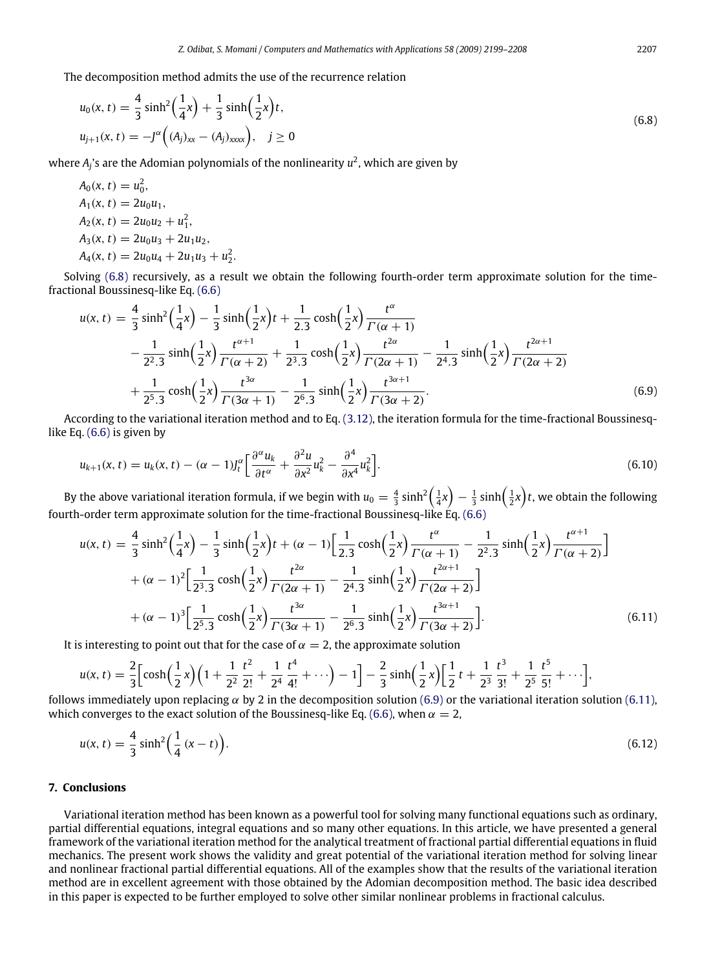The decomposition method admits the use of the recurrence relation

<span id="page-8-2"></span><span id="page-8-1"></span><span id="page-8-0"></span>.

$$
u_0(x, t) = \frac{4}{3} \sinh^2\left(\frac{1}{4}x\right) + \frac{1}{3} \sinh\left(\frac{1}{2}x\right)t,
$$
  
\n
$$
u_{j+1}(x, t) = -J^{\alpha}\left((A_j)_{xx} - (A_j)_{xxxx}\right), \quad j \ge 0
$$
\n(6.8)

where *A<sup>j</sup>* 's are the Adomian polynomials of the nonlinearity *u* 2 , which are given by

$$
A_0(x, t) = u_0^2,
$$
  
\n
$$
A_1(x, t) = 2u_0u_1,
$$
  
\n
$$
A_2(x, t) = 2u_0u_2 + u_1^2,
$$
  
\n
$$
A_3(x, t) = 2u_0u_3 + 2u_1u_2,
$$
  
\n
$$
A_4(x, t) = 2u_0u_4 + 2u_1u_3 + u_2^2
$$

Solving [\(6.8\)](#page-8-0) recursively, as a result we obtain the following fourth-order term approximate solution for the timefractional Boussinesq-like Eq. [\(6.6\)](#page-7-2)

$$
u(x,t) = \frac{4}{3}\sinh^2\left(\frac{1}{4}x\right) - \frac{1}{3}\sinh\left(\frac{1}{2}x\right)t + \frac{1}{2.3}\cosh\left(\frac{1}{2}x\right)\frac{t^{\alpha}}{\Gamma(\alpha+1)}
$$
  
 
$$
- \frac{1}{2^2 \cdot 3}\sinh\left(\frac{1}{2}x\right)\frac{t^{\alpha+1}}{\Gamma(\alpha+2)} + \frac{1}{2^3 \cdot 3}\cosh\left(\frac{1}{2}x\right)\frac{t^{2\alpha}}{\Gamma(2\alpha+1)} - \frac{1}{2^4 \cdot 3}\sinh\left(\frac{1}{2}x\right)\frac{t^{2\alpha+1}}{\Gamma(2\alpha+2)}
$$
  
 
$$
+ \frac{1}{2^5 \cdot 3}\cosh\left(\frac{1}{2}x\right)\frac{t^{3\alpha}}{\Gamma(3\alpha+1)} - \frac{1}{2^6 \cdot 3}\sinh\left(\frac{1}{2}x\right)\frac{t^{3\alpha+1}}{\Gamma(3\alpha+2)}.
$$
 (6.9)

According to the variational iteration method and to Eq. [\(3.12\),](#page-3-5) the iteration formula for the time-fractional Boussinesqlike Eq. [\(6.6\)](#page-7-2) is given by

$$
u_{k+1}(x,t) = u_k(x,t) - (\alpha - 1)J_t^{\alpha} \left[ \frac{\partial^{\alpha} u_k}{\partial t^{\alpha}} + \frac{\partial^2 u}{\partial x^2} u_k^2 - \frac{\partial^4}{\partial x^4} u_k^2 \right].
$$
\n(6.10)

By the above variational iteration formula, if we begin with  $u_0=\frac{4}{3}\sinh^2\Bigl(\frac{1}{4}x\Bigr)-\frac{1}{3}\sinh\Bigl(\frac{1}{2}x\Bigr)t$ , we obtain the following fourth-order term approximate solution for the time-fractional Boussinesq-like  $\vec{E}q$ . [\(6.6\)](#page-7-2)

$$
u(x,t) = \frac{4}{3}\sinh^2\left(\frac{1}{4}x\right) - \frac{1}{3}\sinh\left(\frac{1}{2}x\right)t + (\alpha - 1)\left[\frac{1}{2.3}\cosh\left(\frac{1}{2}x\right)\frac{t^{\alpha}}{\Gamma(\alpha + 1)} - \frac{1}{2^2.3}\sinh\left(\frac{1}{2}x\right)\frac{t^{\alpha+1}}{\Gamma(\alpha + 2)}\right]
$$

$$
+ (\alpha - 1)^2 \left[\frac{1}{2^3.3}\cosh\left(\frac{1}{2}x\right)\frac{t^{2\alpha}}{\Gamma(2\alpha + 1)} - \frac{1}{2^4.3}\sinh\left(\frac{1}{2}x\right)\frac{t^{2\alpha+1}}{\Gamma(2\alpha + 2)}\right]
$$

$$
+ (\alpha - 1)^3 \left[\frac{1}{2^5.3}\cosh\left(\frac{1}{2}x\right)\frac{t^{3\alpha}}{\Gamma(3\alpha + 1)} - \frac{1}{2^6.3}\sinh\left(\frac{1}{2}x\right)\frac{t^{3\alpha+1}}{\Gamma(3\alpha + 2)}\right].
$$
(6.11)

It is interesting to point out that for the case of  $\alpha = 2$ , the approximate solution

$$
u(x, t) = \frac{2}{3} \Big[ \cosh\Big(\frac{1}{2}x\Big) \Big(1 + \frac{1}{2^2} \frac{t^2}{2!} + \frac{1}{2^4} \frac{t^4}{4!} + \cdots \Big) - 1 \Big] - \frac{2}{3} \sinh\Big(\frac{1}{2}x\Big) \Big[ \frac{1}{2}t + \frac{1}{2^3} \frac{t^3}{3!} + \frac{1}{2^5} \frac{t^5}{5!} + \cdots \Big],
$$

follows immediately upon replacing  $\alpha$  by 2 in the decomposition solution [\(6.9\)](#page-8-1) or the variational iteration solution [\(6.11\),](#page-8-2) which converges to the exact solution of the Boussinesq-like Eq. [\(6.6\),](#page-7-2) when  $\alpha = 2$ ,

$$
u(x,t) = \frac{4}{3}\sinh^2\left(\frac{1}{4}(x-t)\right).
$$
 (6.12)

### **7. Conclusions**

Variational iteration method has been known as a powerful tool for solving many functional equations such as ordinary, partial differential equations, integral equations and so many other equations. In this article, we have presented a general framework of the variational iteration method for the analytical treatment of fractional partial differential equations in fluid mechanics. The present work shows the validity and great potential of the variational iteration method for solving linear and nonlinear fractional partial differential equations. All of the examples show that the results of the variational iteration method are in excellent agreement with those obtained by the Adomian decomposition method. The basic idea described in this paper is expected to be further employed to solve other similar nonlinear problems in fractional calculus.